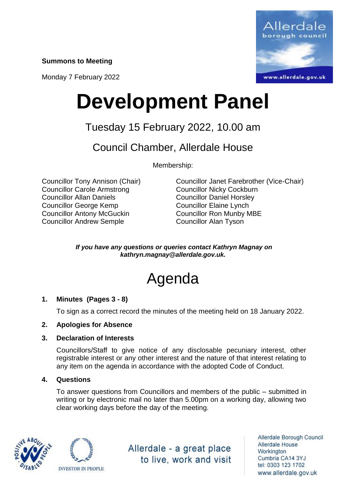**Summons to Meeting**

Monday 7 February 2022



# **Development Panel**

### Tuesday 15 February 2022, 10.00 am

Council Chamber, Allerdale House

Membership:

Councillor Carole Armstrong Councillor Nicky Cockburn Councillor Allan Daniels Councillor Daniel Horsley Councillor George Kemp Councillor Elaine Lynch Councillor Antony McGuckin Councillor Ron Munby MBE Councillor Andrew Semple Councillor Alan Tyson

Councillor Tony Annison (Chair) Councillor Janet Farebrother (Vice-Chair)

*If you have any questions or queries contact Kathryn Magnay on kathryn.magnay@allerdale.gov.uk.*

## Agenda

#### **1. Minutes (Pages 3 - 8)**

To sign as a correct record the minutes of the meeting held on 18 January 2022.

#### **2. Apologies for Absence**

#### **3. Declaration of Interests**

Councillors/Staff to give notice of any disclosable pecuniary interest, other registrable interest or any other interest and the nature of that interest relating to any item on the agenda in accordance with the adopted Code of Conduct.

#### **4. Questions**

To answer questions from Councillors and members of the public – submitted in writing or by electronic mail no later than 5.00pm on a working day, allowing two clear working days before the day of the meeting.





Allerdale - a great place to live, work and visit

Allerdale Borough Council Allerdale House Workington Cumbria CA14 3YJ tel: 0303 123 1702 www.allerdale.gov.uk